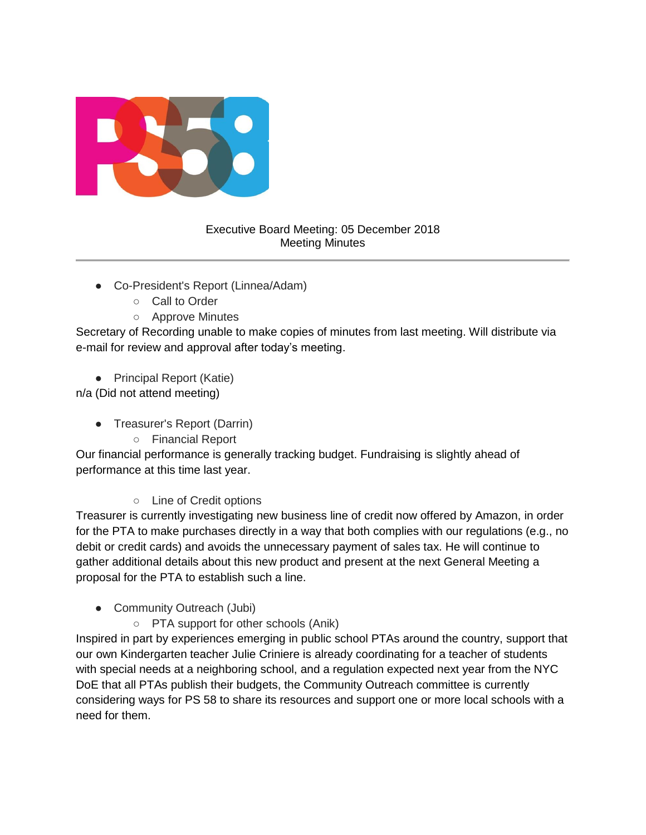

## Executive Board Meeting: 05 December 2018 Meeting Minutes

- Co-President's Report (Linnea/Adam)
	- Call to Order
	- Approve Minutes

Secretary of Recording unable to make copies of minutes from last meeting. Will distribute via e-mail for review and approval after today's meeting.

● Principal Report (Katie)

n/a (Did not attend meeting)

- Treasurer's Report (Darrin)
	- Financial Report

Our financial performance is generally tracking budget. Fundraising is slightly ahead of performance at this time last year.

○ Line of Credit options

Treasurer is currently investigating new business line of credit now offered by Amazon, in order for the PTA to make purchases directly in a way that both complies with our regulations (e.g., no debit or credit cards) and avoids the unnecessary payment of sales tax. He will continue to gather additional details about this new product and present at the next General Meeting a proposal for the PTA to establish such a line.

- Community Outreach (Jubi)
	- PTA support for other schools (Anik)

Inspired in part by experiences emerging in public school PTAs around the country, support that our own Kindergarten teacher Julie Criniere is already coordinating for a teacher of students with special needs at a neighboring school, and a regulation expected next year from the NYC DoE that all PTAs publish their budgets, the Community Outreach committee is currently considering ways for PS 58 to share its resources and support one or more local schools with a need for them.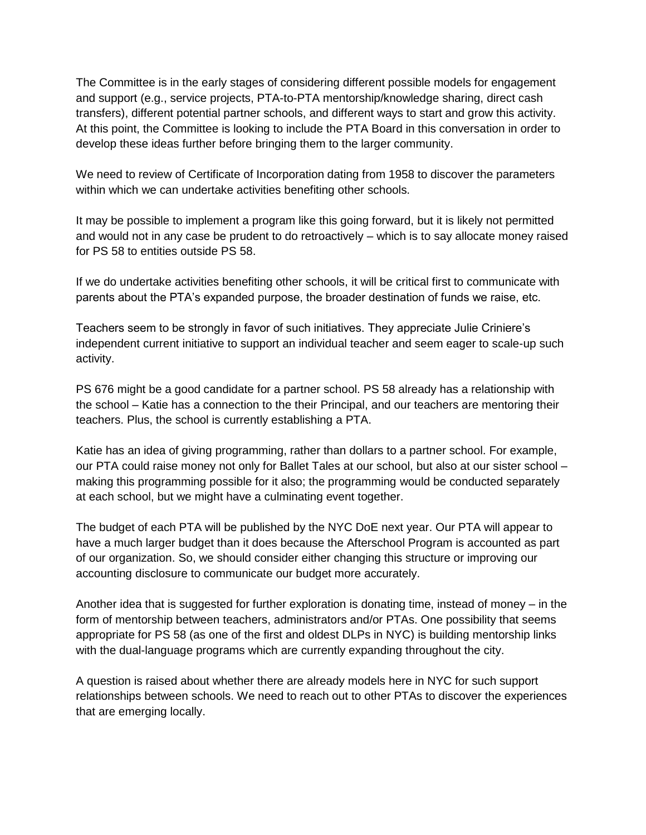The Committee is in the early stages of considering different possible models for engagement and support (e.g., service projects, PTA-to-PTA mentorship/knowledge sharing, direct cash transfers), different potential partner schools, and different ways to start and grow this activity. At this point, the Committee is looking to include the PTA Board in this conversation in order to develop these ideas further before bringing them to the larger community.

We need to review of Certificate of Incorporation dating from 1958 to discover the parameters within which we can undertake activities benefiting other schools.

It may be possible to implement a program like this going forward, but it is likely not permitted and would not in any case be prudent to do retroactively – which is to say allocate money raised for PS 58 to entities outside PS 58.

If we do undertake activities benefiting other schools, it will be critical first to communicate with parents about the PTA's expanded purpose, the broader destination of funds we raise, etc.

Teachers seem to be strongly in favor of such initiatives. They appreciate Julie Criniere's independent current initiative to support an individual teacher and seem eager to scale-up such activity.

PS 676 might be a good candidate for a partner school. PS 58 already has a relationship with the school – Katie has a connection to the their Principal, and our teachers are mentoring their teachers. Plus, the school is currently establishing a PTA.

Katie has an idea of giving programming, rather than dollars to a partner school. For example, our PTA could raise money not only for Ballet Tales at our school, but also at our sister school – making this programming possible for it also; the programming would be conducted separately at each school, but we might have a culminating event together.

The budget of each PTA will be published by the NYC DoE next year. Our PTA will appear to have a much larger budget than it does because the Afterschool Program is accounted as part of our organization. So, we should consider either changing this structure or improving our accounting disclosure to communicate our budget more accurately.

Another idea that is suggested for further exploration is donating time, instead of money – in the form of mentorship between teachers, administrators and/or PTAs. One possibility that seems appropriate for PS 58 (as one of the first and oldest DLPs in NYC) is building mentorship links with the dual-language programs which are currently expanding throughout the city.

A question is raised about whether there are already models here in NYC for such support relationships between schools. We need to reach out to other PTAs to discover the experiences that are emerging locally.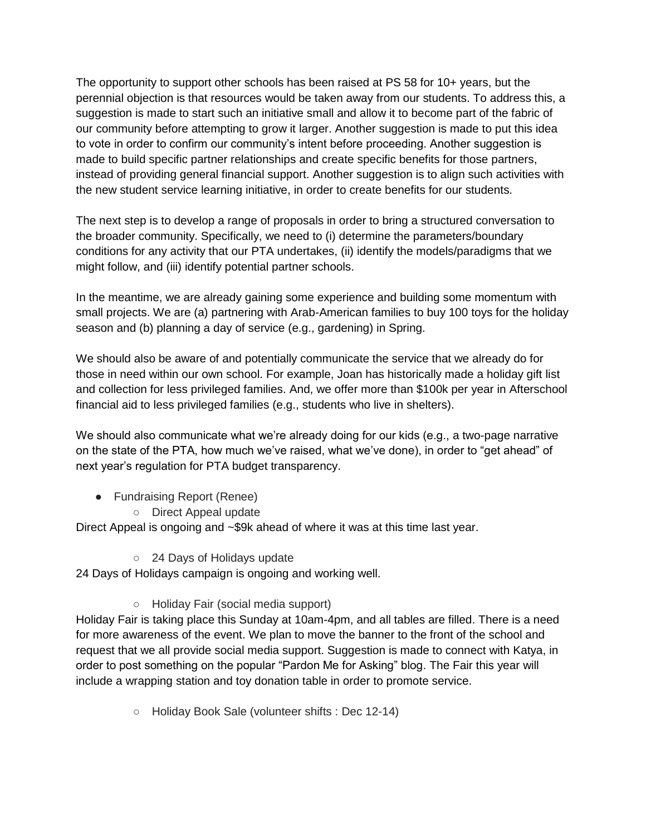The opportunity to support other schools has been raised at PS 58 for 10+ years, but the perennial objection is that resources would be taken away from our students. To address this, a suggestion is made to start such an initiative small and allow it to become part of the fabric of our community before attempting to grow it larger. Another suggestion is made to put this idea to vote in order to confirm our community's intent before proceeding. Another suggestion is made to build specific partner relationships and create specific benefits for those partners, instead of providing general financial support. Another suggestion is to align such activities with the new student service learning initiative, in order to create benefits for our students.

The next step is to develop a range of proposals in order to bring a structured conversation to the broader community. Specifically, we need to (i) determine the parameters/boundary conditions for any activity that our PTA undertakes, (ii) identify the models/paradigms that we might follow, and (iii) identify potential partner schools.

In the meantime, we are already gaining some experience and building some momentum with small projects. We are (a) partnering with Arab-American families to buy 100 toys for the holiday season and (b) planning a day of service (e.g., gardening) in Spring.

We should also be aware of and potentially communicate the service that we already do for those in need within our own school. For example, Joan has historically made a holiday gift list and collection for less privileged families. And, we offer more than \$100k per year in Afterschool financial aid to less privileged families (e.g., students who live in shelters).

We should also communicate what we're already doing for our kids (e.g., a two-page narrative on the state of the PTA, how much we've raised, what we've done), in order to "get ahead" of next year's regulation for PTA budget transparency.

- Fundraising Report (Renee)
	- Direct Appeal update

Direct Appeal is ongoing and ~\$9k ahead of where it was at this time last year.

○ 24 Days of Holidays update

24 Days of Holidays campaign is ongoing and working well.

○ Holiday Fair (social media support)

Holiday Fair is taking place this Sunday at 10am-4pm, and all tables are filled. There is a need for more awareness of the event. We plan to move the banner to the front of the school and request that we all provide social media support. Suggestion is made to connect with Katya, in order to post something on the popular "Pardon Me for Asking" blog. The Fair this year will include a wrapping station and toy donation table in order to promote service.

○ Holiday Book Sale (volunteer shifts : Dec 12-14)